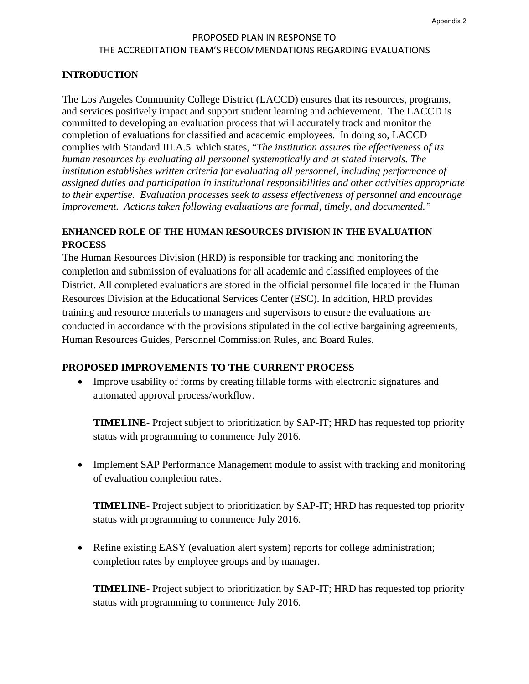# PROPOSED PLAN IN RESPONSE TO THE ACCREDITATION TEAM'S RECOMMENDATIONS REGARDING EVALUATIONS

#### **INTRODUCTION**

The Los Angeles Community College District (LACCD) ensures that its resources, programs, and services positively impact and support student learning and achievement. The LACCD is committed to developing an evaluation process that will accurately track and monitor the completion of evaluations for classified and academic employees. In doing so, LACCD complies with Standard III.A.5. which states, "*The institution assures the effectiveness of its human resources by evaluating all personnel systematically and at stated intervals. The institution establishes written criteria for evaluating all personnel, including performance of assigned duties and participation in institutional responsibilities and other activities appropriate to their expertise. Evaluation processes seek to assess effectiveness of personnel and encourage improvement. Actions taken following evaluations are formal, timely, and documented."* 

# **ENHANCED ROLE OF THE HUMAN RESOURCES DIVISION IN THE EVALUATION PROCESS**

The Human Resources Division (HRD) is responsible for tracking and monitoring the completion and submission of evaluations for all academic and classified employees of the District. All completed evaluations are stored in the official personnel file located in the Human Resources Division at the Educational Services Center (ESC). In addition, HRD provides training and resource materials to managers and supervisors to ensure the evaluations are conducted in accordance with the provisions stipulated in the collective bargaining agreements, Human Resources Guides, Personnel Commission Rules, and Board Rules.

#### **PROPOSED IMPROVEMENTS TO THE CURRENT PROCESS**

• Improve usability of forms by creating fillable forms with electronic signatures and automated approval process/workflow.

**TIMELINE-** Project subject to prioritization by SAP-IT; HRD has requested top priority status with programming to commence July 2016.

• Implement SAP Performance Management module to assist with tracking and monitoring of evaluation completion rates.

**TIMELINE-** Project subject to prioritization by SAP-IT; HRD has requested top priority status with programming to commence July 2016.

• Refine existing EASY (evaluation alert system) reports for college administration; completion rates by employee groups and by manager.

**TIMELINE-** Project subject to prioritization by SAP-IT; HRD has requested top priority status with programming to commence July 2016.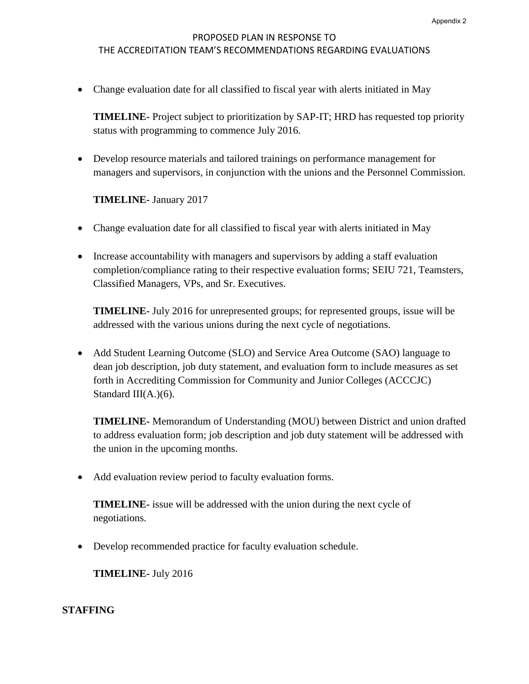# PROPOSED PLAN IN RESPONSE TO THE ACCREDITATION TEAM'S RECOMMENDATIONS REGARDING EVALUATIONS

• Change evaluation date for all classified to fiscal year with alerts initiated in May

**TIMELINE-** Project subject to prioritization by SAP-IT; HRD has requested top priority status with programming to commence July 2016.

• Develop resource materials and tailored trainings on performance management for managers and supervisors, in conjunction with the unions and the Personnel Commission.

## **TIMELINE-** January 2017

- Change evaluation date for all classified to fiscal year with alerts initiated in May
- Increase accountability with managers and supervisors by adding a staff evaluation completion/compliance rating to their respective evaluation forms; SEIU 721, Teamsters, Classified Managers, VPs, and Sr. Executives.

**TIMELINE-** July 2016 for unrepresented groups; for represented groups, issue will be addressed with the various unions during the next cycle of negotiations.

• Add Student Learning Outcome (SLO) and Service Area Outcome (SAO) language to dean job description, job duty statement, and evaluation form to include measures as set forth in Accrediting Commission for Community and Junior Colleges (ACCCJC) Standard III(A.)(6).

**TIMELINE-** Memorandum of Understanding (MOU) between District and union drafted to address evaluation form; job description and job duty statement will be addressed with the union in the upcoming months.

• Add evaluation review period to faculty evaluation forms.

**TIMELINE-** issue will be addressed with the union during the next cycle of negotiations.

• Develop recommended practice for faculty evaluation schedule.

**TIMELINE-** July 2016

## **STAFFING**